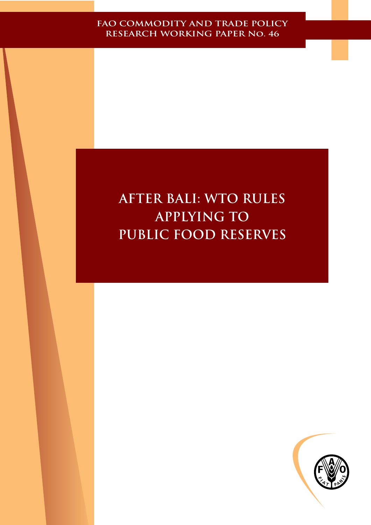# **After Bali: WTO Rules Applying to Public Food Reserves**

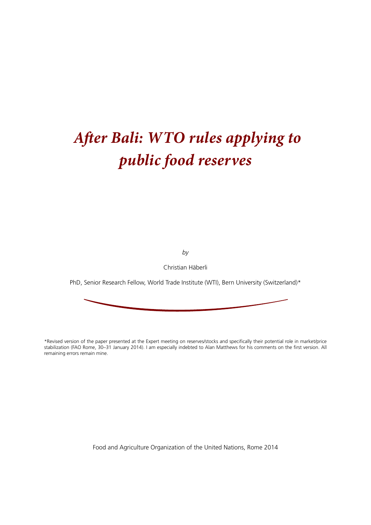# *After Bali: WTO rules applying to public food reserves*

*by*

Christian Häberli

PhD, Senior Research Fellow, World Trade Institute (WTI), Bern University (Switzerland)\*

\*Revised version of the paper presented at the Expert meeting on reserves/stocks and specifically their potential role in market/price stabilization (FAO Rome, 30–31 January 2014). I am especially indebted to Alan Matthews for his comments on the first version. All remaining errors remain mine.

Food and Agriculture Organization of the United Nations, Rome 2014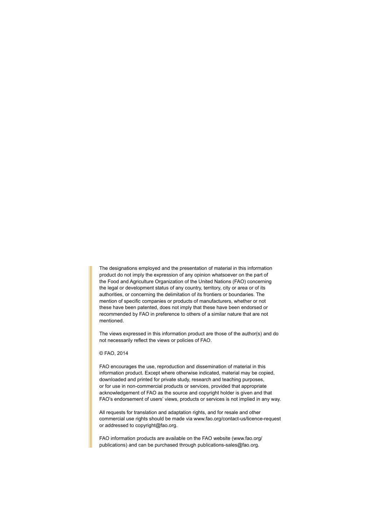The designations employed and the presentation of material in this information product do not imply the expression of any opinion whatsoever on the part of the Food and Agriculture Organization of the United Nations (FAO) concerning the legal or development status of any country, territory, city or area or of its authorities, or concerning the delimitation of its frontiers or boundaries. The mention of specific companies or products of manufacturers, whether or not these have been patented, does not imply that these have been endorsed or recommended by FAO in preference to others of a similar nature that are not mentioned.

The views expressed in this information product are those of the author(s) and do not necessarily reflect the views or policies of FAO.

### © FAO, 2014

FAO encourages the use, reproduction and dissemination of material in this information product. Except where otherwise indicated, material may be copied, downloaded and printed for private study, research and teaching purposes, or for use in non-commercial products or services, provided that appropriate acknowledgement of FAO as the source and copyright holder is given and that FAO's endorsement of users' views, products or services is not implied in any way.

All requests for translation and adaptation rights, and for resale and other commercial use rights should be made via www.fao.org/contact-us/licence-request or addressed to copyright@fao.org.

FAO information products are available on the FAO website (www.fao.org/ publications) and can be purchased through publications-sales@fao.org.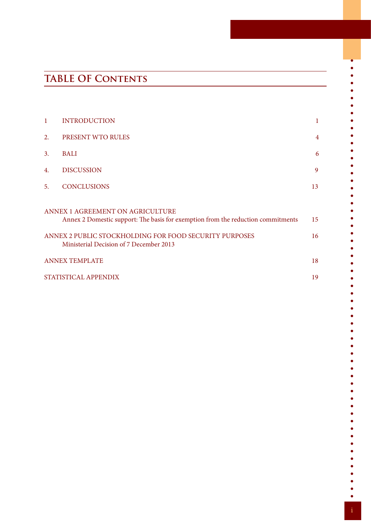# **TABLE OF Contents**

| $\mathbf{1}$          | <b>INTRODUCTION</b>                                                                                                                                                                                                       | 1              |  |  |
|-----------------------|---------------------------------------------------------------------------------------------------------------------------------------------------------------------------------------------------------------------------|----------------|--|--|
| 2.                    | PRESENT WTO RULES                                                                                                                                                                                                         | $\overline{4}$ |  |  |
| 3.                    | BALI                                                                                                                                                                                                                      | 6              |  |  |
| 4.                    | <b>DISCUSSION</b>                                                                                                                                                                                                         | 9              |  |  |
| 5.                    | <b>CONCLUSIONS</b>                                                                                                                                                                                                        | 13             |  |  |
|                       | ANNEX 1 AGREEMENT ON AGRICULTURE<br>Annex 2 Domestic support: The basis for exemption from the reduction commitments<br>ANNEX 2 PUBLIC STOCKHOLDING FOR FOOD SECURITY PURPOSES<br>Ministerial Decision of 7 December 2013 | 15<br>16       |  |  |
| <b>ANNEX TEMPLATE</b> |                                                                                                                                                                                                                           |                |  |  |
| STATISTICAL APPENDIX  |                                                                                                                                                                                                                           |                |  |  |

i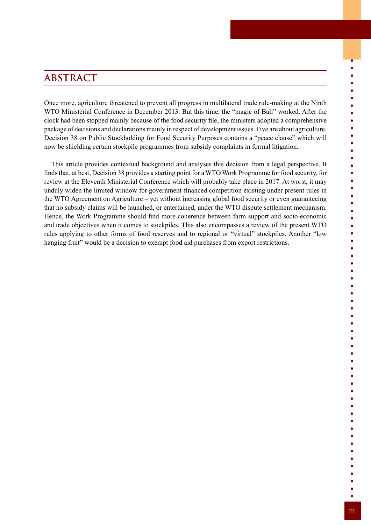# **ABSTRACT**

Once more, agriculture threatened to prevent all progress in multilateral trade rule-making at the Ninth WTO Ministerial Conference in December 2013. But this time, the "magic of Bali" worked. After the clock had been stopped mainly because of the food security file, the ministers adopted a comprehensive package of decisions and declarations mainly in respect of development issues. Five are about agriculture. Decision 38 on Public Stockholding for Food Security Purposes contains a "peace clause" which will now be shielding certain stockpile programmes from subsidy complaints in formal litigation.

This article provides contextual background and analyses this decision from a legal perspective. It finds that, at best, Decision 38 provides a starting point for a WTO Work Programme for food security, for review at the Eleventh Ministerial Conference which will probably take place in 2017. At worst, it may unduly widen the limited window for government-financed competition existing under present rules in the WTO Agreement on Agriculture – yet without increasing global food security or even guaranteeing that no subsidy claims will be launched, or entertained, under the WTO dispute settlement mechanism. Hence, the Work Programme should find more coherence between farm support and socio-economic and trade objectives when it comes to stockpiles. This also encompasses a review of the present WTO rules applying to other forms of food reserves and to regional or "virtual" stockpiles. Another "low hanging fruit" would be a decision to exempt food aid purchases from export restrictions.

 $\bullet$  $\bullet$  $\bullet$  $\bullet$  $\bullet$  $\bullet$  $\bullet$  $\bullet$  $\bullet$  $\bullet$  $\bullet$  $\bullet$  $\bullet$  $\bullet$  $\bullet$  $\bullet$  $\bullet$  $\bullet$  $\bullet$  $\bullet$  $\bullet$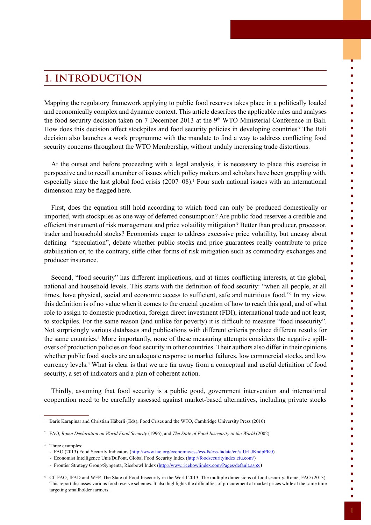# **1. INTRODUCTION**

Mapping the regulatory framework applying to public food reserves takes place in a politically loaded and economically complex and dynamic context. This article describes the applicable rules and analyses the food security decision taken on 7 December 2013 at the 9<sup>th</sup> WTO Ministerial Conference in Bali. How does this decision affect stockpiles and food security policies in developing countries? The Bali decision also launches a work programme with the mandate to find a way to address conflicting food security concerns throughout the WTO Membership, without unduly increasing trade distortions.

At the outset and before proceeding with a legal analysis, it is necessary to place this exercise in perspective and to recall a number of issues which policy makers and scholars have been grappling with, especially since the last global food crisis (2007–08).<sup>1</sup> Four such national issues with an international dimension may be flagged here.

First, does the equation still hold according to which food can only be produced domestically or imported, with stockpiles as one way of deferred consumption? Are public food reserves a credible and efficient instrument of risk management and price volatility mitigation? Better than producer, processor, trader and household stocks? Economists eager to address excessive price volatility, but uneasy about defining "speculation", debate whether public stocks and price guarantees really contribute to price stabilisation or, to the contrary, stifle other forms of risk mitigation such as commodity exchanges and producer insurance.

Second, "food security" has different implications, and at times conflicting interests, at the global, national and household levels. This starts with the definition of food security: "when all people, at all times, have physical, social and economic access to sufficient, safe and nutritious food."<sup>2</sup> In my view, this definition is of no value when it comes to the crucial question of how to reach this goal, and of what role to assign to domestic production, foreign direct investment (FDI), international trade and not least, to stockpiles. For the same reason (and unlike for poverty) it is difficult to measure "food insecurity". Not surprisingly various databases and publications with different criteria produce different results for the same countries.<sup>3</sup> More importantly, none of these measuring attempts considers the negative spillovers of production policies on food security in other countries. Their authors also differ in their opinions whether public food stocks are an adequate response to market failures, low commercial stocks, and low currency levels.4 What is clear is that we are far away from a conceptual and useful definition of food security, a set of indicators and a plan of coherent action.

Thirdly, assuming that food security is a public good, government intervention and international cooperation need to be carefully assessed against market-based alternatives, including private stocks

<sup>3</sup> Three examples:

 $\bullet$  $\bullet$  $\bullet$  $\bullet$  $\bullet$  $\bullet$  $\bullet$  $\bullet$  $\bullet$  $\bullet$  $\bullet$  $\bullet$  $\bullet$  $\bullet$  $\bullet$  $\bullet$  $\bullet$  $\bullet$  $\bullet$  $\bullet$  $\bullet$  $\bullet$  $\bullet$  $\bullet$  $\bullet$  $\bullet$  $\bullet$  $\bullet$  $\bullet$  $\bullet$  $\bullet$  $\bullet$  $\bullet$  $\bullet$  $\bullet$  $\bullet$  $\bullet$  $\bullet$  $\bullet$  $\bullet$  $\bullet$  $\bullet$  $\bullet$  $\bullet$  $\bullet$  $\bullet$  $\bullet$  $\bullet$  $\bullet$  $\bullet$  $\bullet$  $\bullet$ 

<sup>&</sup>lt;sup>1</sup> Baris Karapinar and Christian Häberli (Eds), Food Crises and the WTO, Cambridge University Press (2010)

<sup>2</sup> FAO, *Rome Declaration on World Food Security* (1996), and *The State of Food Insecurity in the World* (2002)

<sup>-</sup> FAO (2013) Food Security Indicators (<http://www.fao.org/economic/ess/ess-fs/ess-fadata/en/#.UrLJKndpPK0>)

<sup>-</sup> Economist Intelligence Unit/DuPont, Global Food Security Index [\(http://foodsecurityindex.eiu.com/](http://foodsecurityindex.eiu.com/))

<sup>-</sup> Frontier Strategy Group/Syngenta, Ricebowl Index ([http://www.ricebowlindex.com/Pages/default.asp](http://www.ricebowlindex.com/Pages/default.aspx)x)

<sup>4</sup> Cf. FAO, IFAD and WFP, The State of Food Insecurity in the World 2013. The multiple dimensions of food security. Rome, FAO (2013). This report discusses various food reserve schemes. It also highlights the difficulties of procurement at market prices while at the same time targeting smallholder farmers.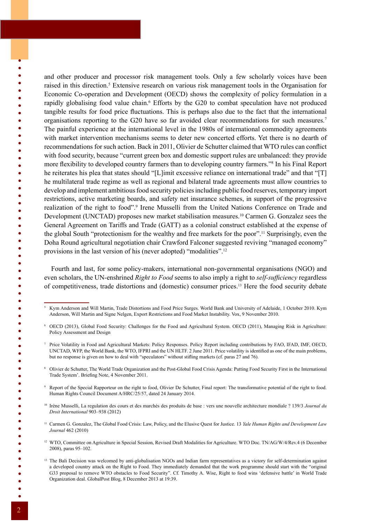and other producer and processor risk management tools. Only a few scholarly voices have been raised in this direction.<sup>5</sup> Extensive research on various risk management tools in the Organisation for Economic Co-operation and Development (OECD) shows the complexity of policy formulation in a rapidly globalising food value chain.<sup>6</sup> Efforts by the G20 to combat speculation have not produced tangible results for food price fluctuations. This is perhaps also due to the fact that the international organisations reporting to the G20 have so far avoided clear recommendations for such measures.<sup>7</sup> The painful experience at the international level in the 1980s of international commodity agreements with market intervention mechanisms seems to deter new concerted efforts. Yet there is no dearth of recommendations for such action. Back in 2011, Olivier de Schutter claimed that WTO rules can conflict with food security, because "current green box and domestic support rules are unbalanced: they provide more flexibility to developed country farmers than to developing country farmers."<sup>8</sup> In his Final Report he reiterates his plea that states should "[L]imit excessive reliance on international trade" and that "[T] he multilateral trade regime as well as regional and bilateral trade agreements must allow countries to develop and implement ambitious food security policies including public food reserves, temporary import restrictions, active marketing boards, and safety net insurance schemes, in support of the progressive realization of the right to food".<sup>9</sup> Irene Musselli from the United Nations Conference on Trade and Development (UNCTAD) proposes new market stabilisation measures.<sup>10</sup> Carmen G. Gonzalez sees the General Agreement on Tariffs and Trade (GATT) as a colonial construct established at the expense of the global South "protectionism for the wealthy and free markets for the poor".11 Surprisingly, even the Doha Round agricultural negotiation chair Crawford Falconer suggested reviving "managed economy" provisions in the last version of his (never adopted) "modalities".12

Fourth and last, for some policy-makers, international non-governmental organisations (NGO) and even scholars, the UN-enshrined *Right to Food* seems to also imply a right to *self-sufficiency* regardless of competitiveness, trade distortions and (domestic) consumer prices.13 Here the food security debate

<sup>6</sup> OECD (2013), Global Food Security: Challenges for the Food and Agricultural System. OECD (2011), Managing Risk in Agriculture: Policy Assessment and Design

<sup>7</sup> Price Volatility in Food and Agricultural Markets: Policy Responses. Policy Report including contributions by FAO, IFAD, IMF, OECD, UNCTAD, WFP, the World Bank, the WTO, IFPRI and the UN HLTF. 2 June 2011. Price volatility is identified as one of the main problems, but no response is given on how to deal with "speculators" without stifling markets (cf. paras 27 and 76).

<sup>8</sup> Olivier de Schutter, The World Trade Organization and the Post-Global Food Crisis Agenda: Putting Food Security First in the International Trade System'. Briefing Note, 4 November 2011.

<sup>9</sup> Report of the Special Rapporteur on the right to food, Olivier De Schutter, Final report: The transformative potential of the right to food. Human Rights Council Document A/HRC/25/57, dated 24 January 2014.

<sup>10</sup> Irène Musselli, La regulation des cours et des marchés des produits de base : vers une nouvelle architecture mondiale ? 139/3 *Journal du Droit International* 903–938 (2012)

<sup>11</sup> Carmen G. Gonzalez, The Global Food Crisis: Law, Policy, and the Elusive Quest for Justice. 13 *Yale Human Rights and Development Law Journal* 462 (2010)

<sup>12</sup> WTO, Committee on Agriculture in Special Session, Revised Draft Modalities for Agriculture. WTO Doc. TN/AG/W/4/Rev.4 (6 December 2008), paras 95–102.

 $\bullet$  $\bullet$  $\bullet$  $\bullet$ 

 $\bullet$  $\bullet$ 

 $\bullet$  $\bullet$  $\bullet$  $\bullet$  $\bullet$ 

 $\bullet$  $\bullet$  $\bullet$  $\bullet$  $\bullet$  $\bullet$  $\bullet$  $\bullet$  $\bullet$  $\bullet$  $\bullet$  $\bullet$  $\bullet$  $\bullet$  $\bullet$  $\bullet$  $\bullet$  $\bullet$  $\bullet$  $\bullet$  $\bullet$  $\bullet$  $\bullet$  $\bullet$  $\bullet$  $\bullet$  $\bullet$  $\bullet$  $\bullet$  $\bullet$  $\bullet$  $\bullet$  $\bullet$  $\bullet$  $\bullet$  $\bullet$ 

<sup>5</sup> Kym Anderson and Will Martin, Trade Distortions and Food Price Surges. World Bank and University of Adelaide, 1 October 2010. Kym Anderson, Will Martin and Signe Nelgen, Export Restrictions and Food Market Instability. Vox, 9 November 2010.

<sup>&</sup>lt;sup>13</sup> The Bali Decision was welcomed by anti-globalisation NGOs and Indian farm representatives as a victory for self-determination against a developed country attack on the Right to Food. They immediately demanded that the work programme should start with the "original G33 proposal to remove WTO obstacles to Food Security". Cf. Timothy A. Wise, Right to food wins 'defensive battle' in World Trade Organization deal. GlobalPost Blog, 8 December 2013 at 19:39.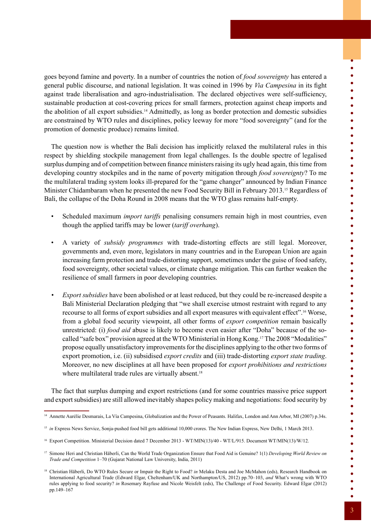goes beyond famine and poverty. In a number of countries the notion of *food sovereignty* has entered a general public discourse, and national legislation. It was coined in 1996 by *Via Campesina* in its fight against trade liberalisation and agro-industrialisation. The declared objectives were self-sufficiency, sustainable production at cost-covering prices for small farmers, protection against cheap imports and the abolition of all export subsidies.14 Admittedly, as long as border protection and domestic subsidies are constrained by WTO rules and disciplines, policy leeway for more "food sovereignty" (and for the promotion of domestic produce) remains limited.

The question now is whether the Bali decision has implicitly relaxed the multilateral rules in this respect by shielding stockpile management from legal challenges. Is the double spectre of legalised surplus dumping and of competition between finance ministers raising its ugly head again, this time from developing country stockpiles and in the name of poverty mitigation through *food sovereignty*? To me the multilateral trading system looks ill-prepared for the "game changer" announced by Indian Finance Minister Chidambaram when he presented the new Food Security Bill in February 2013.15 Regardless of Bali, the collapse of the Doha Round in 2008 means that the WTO glass remains half-empty.

- Scheduled maximum *import tariffs* penalising consumers remain high in most countries, even though the applied tariffs may be lower (*tariff overhang*).
- A variety of *subsidy programmes* with trade-distorting effects are still legal. Moreover, governments and, even more, legislators in many countries and in the European Union are again increasing farm protection and trade-distorting support, sometimes under the guise of food safety, food sovereignty, other societal values, or climate change mitigation. This can further weaken the resilience of small farmers in poor developing countries.
- *• Export subsidies* have been abolished or at least reduced, but they could be re-increased despite a Bali Ministerial Declaration pledging that "we shall exercise utmost restraint with regard to any recourse to all forms of export subsidies and all export measures with equivalent effect".16 Worse, from a global food security viewpoint, all other forms of *export competition* remain basically unrestricted: (i) *food aid* abuse is likely to become even easier after "Doha" because of the socalled "safe box" provision agreed at the WTO Ministerial in Hong Kong.17 The 2008 "Modalities" propose equally unsatisfactory improvements for the disciplines applying to the other two forms of export promotion, i.e. (ii) subsidised *export credits* and (iii) trade-distorting *export state trading*. Moreover, no new disciplines at all have been proposed for *export prohibitions and restrictions* where multilateral trade rules are virtually absent.<sup>18</sup>

The fact that surplus dumping and export restrictions (and for some countries massive price support and export subsidies) are still allowed inevitably shapes policy making and negotiations: food security by

 $\ddot{\bullet}$ 

 $\begin{array}{c} \bullet \\ \bullet \\ \bullet \\ \bullet \end{array}$ 

 $\bullet$ 

 $\begin{array}{c} \bullet \\ \bullet \\ \bullet \end{array}$ 

 $\bullet$  $\bullet$  $\bullet$  $\bullet$  $\bullet$  $\bullet$  $\bullet$  $\bullet$  $\bullet$  $\bullet$  $\bullet$  $\bullet$  $\bullet$ 

 $\begin{array}{cc} \bullet & \bullet \\ \bullet & \bullet \end{array}$ 

 $\bullet$  $\bullet$ 

 $\bullet$  $\bullet$ 

 $\bullet$  $\bullet$  $\bullet$  $\bullet$  $\bullet$  $\bullet$  $\bullet$  $\bullet$  $\bullet$  $\bullet$  $\bullet$  $\bullet$  $\bullet$ 

<sup>&</sup>lt;sup>14</sup> Annette Aurélie Desmarais, La Vía Campesina, Globalization and the Power of Peasants. Halifax, London and Ann Arbor, MI (2007) p.34s.

<sup>&</sup>lt;sup>15</sup> in Express News Service, Sonja-pushed food bill gets additional 10,000 crores. The New Indian Express, New Delhi, 1 March 2013.

<sup>&</sup>lt;sup>16</sup> Export Competition. Ministerial Decision dated 7 December 2013 - WT/MIN(13)/40 - WT/L/915. Document WT/MIN(13)/W/12.

<sup>17</sup> Simone Heri and Christian Häberli, Can the World Trade Organization Ensure that Food Aid is Genuine? 1(1) *Developing World Review on Trade and Competition* 1–70 (Gujarat National Law University, India, 2011)

<sup>&</sup>lt;sup>18</sup> Christian Häberli, Do WTO Rules Secure or Impair the Right to Food? *in* Melaku Desta and Joe McMahon (eds), Research Handbook on International Agricultural Trade (Edward Elgar, Cheltenham/UK and Northampton/US, 2012) pp.70–103, *and* What's wrong with WTO rules applying to food security? *in* Rosemary Rayfuse and Nicole Weisfelt (eds), The Challenge of Food Security. Edward Elgar (2012) pp.149–167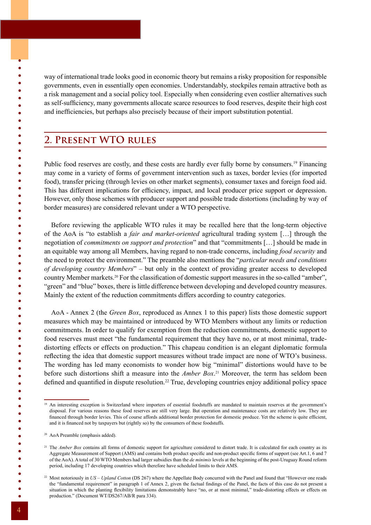way of international trade looks good in economic theory but remains a risky proposition for responsible governments, even in essentially open economies. Understandably, stockpiles remain attractive both as a risk management and a social policy tool. Especially when considering even costlier alternatives such as self-sufficiency, many governments allocate scarce resources to food reserves, despite their high cost and inefficiencies, but perhaps also precisely because of their import substitution potential.

## **2. Present WTO rules**

Public food reserves are costly, and these costs are hardly ever fully borne by consumers.<sup>19</sup> Financing may come in a variety of forms of government intervention such as taxes, border levies (for imported food), transfer pricing (through levies on other market segments), consumer taxes and foreign food aid. This has different implications for efficiency, impact, and local producer price support or depression. However, only those schemes with producer support and possible trade distortions (including by way of border measures) are considered relevant under a WTO perspective.

Before reviewing the applicable WTO rules it may be recalled here that the long-term objective of the AoA is "to establish a *fair and market-oriented* agricultural trading system […] through the negotiation of *commitments on support and protection*" and that "commitments […] should be made in an equitable way among all Members, having regard to non-trade concerns, including *food security* and the need to protect the environment." The preamble also mentions the "*particular needs and conditions of developing country Members*" – but only in the context of providing greater access to developed country Member markets.20 For the classification of domestic support measures in the so-called "amber", "green" and "blue" boxes, there is little difference between developing and developed country measures. Mainly the extent of the reduction commitments differs according to country categories.

AoA - Annex 2 (the *Green Box*, reproduced as Annex 1 to this paper) lists those domestic support measures which may be maintained or introduced by WTO Members without any limits or reduction commitments. In order to qualify for exemption from the reduction commitments, domestic support to food reserves must meet "the fundamental requirement that they have no, or at most minimal, tradedistorting effects or effects on production." This chapeau condition is an elegant diplomatic formula reflecting the idea that domestic support measures without trade impact are none of WTO's business. The wording has led many economists to wonder how big "minimal" distortions would have to be before such distortions shift a measure into the *Amber Box*. 21 Moreover, the term has seldom been defined and quantified in dispute resolution.<sup>22</sup> True, developing countries enjoy additional policy space

 $\bullet$ 

 $\bullet$  $\bullet$  $\bullet$  $\bullet$  $\bullet$ 

 $\bullet$  $\bullet$ 

 $\bullet$  $\bullet$  $\bullet$  $\bullet$  $\bullet$  $\bullet$  $\bullet$  $\bullet$  $\bullet$ 

 $\bullet$ 

 $\bullet$ 

 $\bullet$  $\bullet$  $\bullet$  $\bullet$  $\bullet$  $\bullet$  $\bullet$  $\bullet$  $\bullet$  $\bullet$  $\bullet$  $\bullet$ 

 $\bullet$  $\bullet$  $\bullet$  $\bullet$  $\bullet$ 

 $\bullet$  $\bullet$ 

 $\bullet$ 

<sup>19</sup> An interesting exception is Switzerland where importers of essential foodstuffs are mandated to maintain reserves at the government's disposal. For various reasons these food reserves are still very large. But operation and maintenance costs are relatively low. They are financed through border levies. This of course affords additional border protection for domestic produce. Yet the scheme is quite efficient, and it is financed not by taxpayers but (rightly so) by the consumers of these foodstuffs.

<sup>20</sup> AoA Preamble (emphasis added).

<sup>&</sup>lt;sup>21</sup> The *Amber Box* contains all forms of domestic support for agriculture considered to distort trade. It is calculated for each country as its Aggregate Measurement of Support (AMS) and contains both product specific and non-product specific forms of support (see Art.1, 6 and 7 of the AoA). A total of 30 WTO Members had larger subsidies than the *de minimis* levels at the beginning of the post-Uruguay Round reform period, including 17 developing countries which therefore have scheduled limits to their AMS.

<sup>&</sup>lt;sup>22</sup> Most notoriously in *US – Upland Cotton* (DS 267) where the Appellate Body concurred with the Panel and found that "However one reads the "fundamental requirement" in paragraph 1 of Annex 2, given the factual findings of the Panel, the facts of this case do not present a situation in which the planting flexibility limitations demonstrably have "no, or at most minimal," trade-distorting effects or effects on production." (Document WT/DS267/AB/R para 334).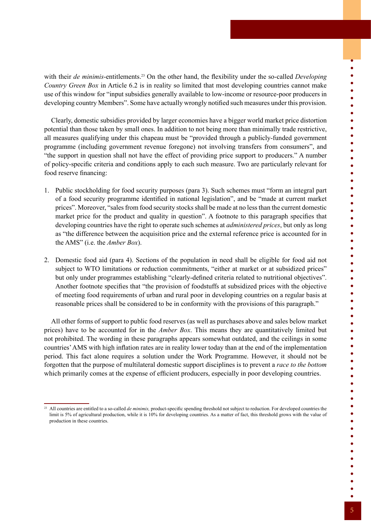with their *de minimis*-entitlements.<sup>23</sup> On the other hand, the flexibility under the so-called *Developing Country Green Box* in Article 6.2 is in reality so limited that most developing countries cannot make use of this window for "input subsidies generally available to low-income or resource-poor producers in developing country Members". Some have actually wrongly notified such measures under this provision.

Clearly, domestic subsidies provided by larger economies have a bigger world market price distortion potential than those taken by small ones. In addition to not being more than minimally trade restrictive, all measures qualifying under this chapeau must be "provided through a publicly-funded government programme (including government revenue foregone) not involving transfers from consumers", and "the support in question shall not have the effect of providing price support to producers." A number of policy-specific criteria and conditions apply to each such measure. Two are particularly relevant for food reserve financing:

- 1. Public stockholding for food security purposes (para 3). Such schemes must "form an integral part of a food security programme identified in national legislation", and be "made at current market prices". Moreover, "sales from food security stocks shall be made at no less than the current domestic market price for the product and quality in question". A footnote to this paragraph specifies that developing countries have the right to operate such schemes at *administered prices*, but only as long as "the difference between the acquisition price and the external reference price is accounted for in the AMS" (i.e. the *Amber Box*).
- 2. Domestic food aid (para 4). Sections of the population in need shall be eligible for food aid not subject to WTO limitations or reduction commitments, "either at market or at subsidized prices" but only under programmes establishing "clearly-defined criteria related to nutritional objectives". Another footnote specifies that "the provision of foodstuffs at subsidized prices with the objective of meeting food requirements of urban and rural poor in developing countries on a regular basis at reasonable prices shall be considered to be in conformity with the provisions of this paragraph."

All other forms of support to public food reserves (as well as purchases above and sales below market prices) have to be accounted for in the *Amber Box*. This means they are quantitatively limited but not prohibited. The wording in these paragraphs appears somewhat outdated, and the ceilings in some countries' AMS with high inflation rates are in reality lower today than at the end of the implementation period. This fact alone requires a solution under the Work Programme. However, it should not be forgotten that the purpose of multilateral domestic support disciplines is to prevent a *race to the bottom* which primarily comes at the expense of efficient producers, especially in poor developing countries.

 $\bullet$  $\bullet$ 

 $\begin{array}{c} \bullet \\ \bullet \\ \bullet \end{array}$ 

 $\bullet$  $\bullet$ 

 $\bullet$ 

 $\begin{array}{c} \bullet \\ \bullet \\ \bullet \end{array}$ 

 $\begin{array}{c} \bullet \\ \bullet \\ \bullet \end{array}$ 

 $\bullet$  $\bullet$ 

 $\bullet$   $\bullet$ 

 $\bullet$  $\bullet$  $\bullet$  $\bullet$  $\bullet$  $\bullet$  $\bullet$  $\bullet$  $\bullet$  $\bullet$  $\bullet$  $\bullet$  $\bullet$  $\bullet$  $\bullet$  $\bullet$ 

<sup>&</sup>lt;sup>23</sup> All countries are entitled to a so-called *de minimis*, product-specific spending threshold not subject to reduction. For developed countries the limit is 5% of agricultural production, while it is 10% for developing countries. As a matter of fact, this threshold grows with the value of production in these countries.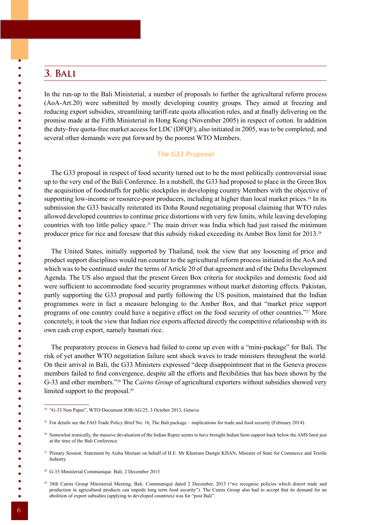# **3. Bali**

 $\bullet$  $\bullet$ 

 $\bullet$  $\bullet$  $\bullet$  $\bullet$  $\bullet$ 

 $\bullet$ 

 $\bullet$  $\bullet$  $\bullet$  $\bullet$  $\bullet$  $\bullet$  $\bullet$  $\bullet$  $\bullet$  $\bullet$  $\bullet$  $\bullet$  $\bullet$  $\bullet$  $\bullet$  $\bullet$  $\bullet$  $\bullet$  $\bullet$  $\bullet$  $\bullet$  $\bullet$  $\bullet$  $\bullet$  $\bullet$  $\bullet$  $\bullet$  In the run-up to the Bali Ministerial, a number of proposals to further the agricultural reform process (AoA-Art.20) were submitted by mostly developing country groups. They aimed at freezing and reducing export subsidies, streamlining tariff-rate quota allocation rules, and at finally delivering on the promise made at the Fifth Ministerial in Hong Kong (November 2005) in respect of cotton. In addition the duty-free quota-free market access for LDC (DFQF), also initiated in 2005, was to be completed, and several other demands were put forward by the poorest WTO Members.

## *The G33 Proposal*

The G33 proposal in respect of food security turned out to be the most politically controversial issue up to the very end of the Bali Conference. In a nutshell, the G33 had proposed to place in the Green Box the acquisition of foodstuffs for public stockpiles in developing country Members with the objective of supporting low-income or resource-poor producers, including at higher than local market prices.<sup>24</sup> In its submission the G33 basically reiterated its Doha Round negotiating proposal claiming that WTO rules allowed developed countries to continue price distortions with very few limits, while leaving developing countries with too little policy space.25 The main driver was India which had just raised the minimum producer price for rice and foresaw that this subsidy risked exceeding its Amber Box limit for 2013.26

The United States, initially supported by Thailand, took the view that any loosening of price and product support disciplines would run counter to the agricultural reform process initiated in the AoA and which was to be continued under the terms of Article 20 of that agreement and of the Doha Development Agenda. The US also argued that the present Green Box criteria for stockpiles and domestic food aid were sufficient to accommodate food security programmes without market distorting effects. Pakistan, partly supporting the G33 proposal and partly following the US position, maintained that the Indian programmes were in fact a measure belonging to the Amber Box, and that "market price support programs of one country could have a negative effect on the food security of other countries."27 More concretely, it took the view that Indian rice exports affected directly the competitive relationship with its own cash crop export, namely basmati rice.

The preparatory process in Geneva had failed to come up even with a "mini-package" for Bali. The risk of yet another WTO negotiation failure sent shock waves to trade ministers throughout the world. On their arrival in Bali, the G33 Ministers expressed "deep disappointment that in the Geneva process members failed to find convergence, despite all the efforts and flexibilities that has been shown by the G-33 and other members."28 The *Cairns Group* of agricultural exporters without subsidies showed very limited support to the proposal.29

 $\bullet$  $\bullet$  $\bullet$  $\bullet$  $\bullet$ 

 $\bullet$  $\bullet$ 

 $\bullet$  $\bullet$ 

<sup>24</sup> "G-33 Non Paper", WTO-Document JOB/AG/25, 3 October 2013, Geneva

<sup>&</sup>lt;sup>25</sup> For details see the FAO Trade Policy Brief No. 16, The Bali package – implications for trade and food security (February 2014).

<sup>&</sup>lt;sup>26</sup> Somewhat ironically, the massive devaluation of the Indian Rupee seems to have brought Indian farm support back below the AMS limit just at the time of the Bali Conference.

<sup>27</sup> Plenary Session. Statement by Aisha Moriani on behalf of H.E. Mr Khurram Dastgir KHAN, Minister of State for Commerce and Textile Industry

<sup>28</sup> G-33 Ministerial Communique. Bali, 2 December 2013

<sup>&</sup>lt;sup>29</sup> 38th Cairns Group Ministerial Meeting, Bali. Communiqué dated 2 December, 2013 ("we recognise policies which distort trade and production in agricultural products can impede long term food security"). The Cairns Group also had to accept that its demand for an abolition of export subsidies (applying to developed countries) was for "post Bali".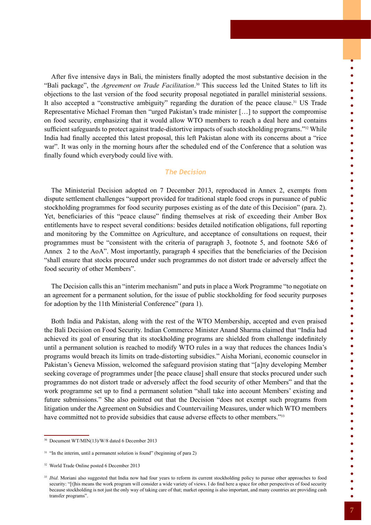After five intensive days in Bali, the ministers finally adopted the most substantive decision in the "Bali package", the *Agreement on Trade Facilitation*. 30 This success led the United States to lift its objections to the last version of the food security proposal negotiated in parallel ministerial sessions. It also accepted a "constructive ambiguity" regarding the duration of the peace clause.31 US Trade Representative Michael Froman then "urged Pakistan's trade minister […] to support the compromise on food security, emphasizing that it would allow WTO members to reach a deal here and contains sufficient safeguards to protect against trade-distortive impacts of such stockholding programs."32 While India had finally accepted this latest proposal, this left Pakistan alone with its concerns about a "rice war". It was only in the morning hours after the scheduled end of the Conference that a solution was finally found which everybody could live with.

## *The Decision*

The Ministerial Decision adopted on 7 December 2013, reproduced in Annex 2, exempts from dispute settlement challenges "support provided for traditional staple food crops in pursuance of public stockholding programmes for food security purposes existing as of the date of this Decision" (para. 2). Yet, beneficiaries of this "peace clause" finding themselves at risk of exceeding their Amber Box entitlements have to respect several conditions: besides detailed notification obligations, full reporting and monitoring by the Committee on Agriculture, and acceptance of consultations on request, their programmes must be "consistent with the criteria of paragraph 3, footnote 5, and footnote 5&6 of Annex 2 to the AoA". Most importantly, paragraph 4 specifies that the beneficiaries of the Decision "shall ensure that stocks procured under such programmes do not distort trade or adversely affect the food security of other Members".

The Decision calls this an "interim mechanism" and puts in place a Work Programme "to negotiate on an agreement for a permanent solution, for the issue of public stockholding for food security purposes for adoption by the 11th Ministerial Conference" (para 1).

Both India and Pakistan, along with the rest of the WTO Membership, accepted and even praised the Bali Decision on Food Security. Indian Commerce Minister Anand Sharma claimed that "India had achieved its goal of ensuring that its stockholding programs are shielded from challenge indefinitely until a permanent solution is reached to modify WTO rules in a way that reduces the chances India's programs would breach its limits on trade-distorting subsidies." Aisha Moriani, economic counselor in Pakistan's Geneva Mission, welcomed the safeguard provision stating that "[a]ny developing Member seeking coverage of programmes under [the peace clause] shall ensure that stocks procured under such programmes do not distort trade or adversely affect the food security of other Members" and that the work programme set up to find a permanent solution "shall take into account Members' existing and future submissions." She also pointed out that the Decision "does not exempt such programs from litigation under the Agreement on Subsidies and Countervailing Measures, under which WTO members have committed not to provide subsidies that cause adverse effects to other members."33

 $\ddot{\bullet}$ 

 $\begin{array}{c} \bullet \\ \bullet \\ \bullet \end{array}$ 

 $\bullet$   $\bullet$ 

 $\bullet$  $\bullet$  $\bullet$  $\bullet$  $\bullet$  $\bullet$  $\bullet$  $\bullet$  $\bullet$  $\bullet$  $\bullet$  $\bullet$  $\bullet$  $\bullet$  $\bullet$ 

 $\bullet$ 

 $\bullet$   $\bullet$ 

 $\bullet$  $\bullet$  $\bullet$  $\bullet$  $\bullet$  $\bullet$  $\bullet$  $\bullet$  $\bullet$  $\bullet$  $\bullet$  $\bullet$  $\bullet$  $\bullet$  $\bullet$  $\bullet$  $\bullet$  $\bullet$  $\bullet$  $\bullet$  $\bullet$  $\bullet$  $\bullet$  $\bullet$  $\bullet$  $\bullet$ 

<sup>30</sup> Document WT/MIN(13)/W/8 dated 6 December 2013

 $31$  "In the interim, until a permanent solution is found" (beginning of para 2)

<sup>32</sup> World Trade Online posted 6 December 2013

<sup>&</sup>lt;sup>33</sup> *Ibid*. Moriani also suggested that India now had four years to reform its current stockholding policy to pursue other approaches to food security: "[t]his means the work program will consider a wide variety of views. I do find here a space for other perspectives of food security because stockholding is not just the only way of taking care of that; market opening is also important, and many countries are providing cash transfer programs".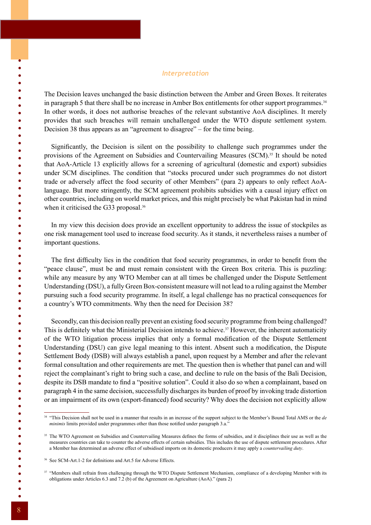## *Interpretation*

The Decision leaves unchanged the basic distinction between the Amber and Green Boxes. It reiterates in paragraph 5 that there shall be no increase in Amber Box entitlements for other support programmes.<sup>34</sup> In other words, it does not authorise breaches of the relevant substantive AoA disciplines. It merely provides that such breaches will remain unchallenged under the WTO dispute settlement system. Decision 38 thus appears as an "agreement to disagree" – for the time being.

Significantly, the Decision is silent on the possibility to challenge such programmes under the provisions of the Agreement on Subsidies and Countervailing Measures (SCM).35 It should be noted that AoA-Article 13 explicitly allows for a screening of agricultural (domestic and export) subsidies under SCM disciplines. The condition that "stocks procured under such programmes do not distort trade or adversely affect the food security of other Members" (para 2) appears to only reflect AoAlanguage. But more stringently, the SCM agreement prohibits subsidies with a causal injury effect on other countries, including on world market prices, and this might precisely be what Pakistan had in mind when it criticised the G33 proposal.<sup>36</sup>

In my view this decision does provide an excellent opportunity to address the issue of stockpiles as one risk management tool used to increase food security. As it stands, it nevertheless raises a number of important questions.

The first difficulty lies in the condition that food security programmes, in order to benefit from the "peace clause", must be and must remain consistent with the Green Box criteria. This is puzzling: while any measure by any WTO Member can at all times be challenged under the Dispute Settlement Understanding (DSU), a fully Green Box-consistent measure will not lead to a ruling against the Member pursuing such a food security programme. In itself, a legal challenge has no practical consequences for a country's WTO commitments. Why then the need for Decision 38?

Secondly, can this decision really prevent an existing food security programme from being challenged? This is definitely what the Ministerial Decision intends to achieve.<sup>37</sup> However, the inherent automaticity of the WTO litigation process implies that only a formal modification of the Dispute Settlement Understanding (DSU) can give legal meaning to this intent. Absent such a modification, the Dispute Settlement Body (DSB) will always establish a panel, upon request by a Member and after the relevant formal consultation and other requirements are met. The question then is whether that panel can and will reject the complainant's right to bring such a case, and decline to rule on the basis of the Bali Decision, despite its DSB mandate to find a "positive solution". Could it also do so when a complainant, based on paragraph 4 in the same decision, successfully discharges its burden of proof by invoking trade distortion or an impairment of its own (export-financed) food security? Why does the decision not explicitly allow

 $\bullet$  $\bullet$ 

 $\bullet$  $\bullet$ 

 $\bullet$  $\bullet$  $\bullet$  $\bullet$  $\bullet$  $\bullet$  $\bullet$  $\bullet$  $\bullet$  $\bullet$  $\bullet$  $\bullet$  $\bullet$  $\bullet$  $\bullet$  $\bullet$  $\bullet$  $\bullet$  $\bullet$  $\bullet$  $\bullet$  $\bullet$  $\bullet$  $\bullet$  $\bullet$  $\bullet$  $\bullet$  $\bullet$  $\bullet$  $\bullet$  $\bullet$  $\bullet$  $\bullet$  $\bullet$  $\bullet$  $\bullet$  $\bullet$  $\bullet$  $\bullet$  $\bullet$  $\bullet$  $\bullet$  $\bullet$  $\bullet$  $\bullet$ 

<sup>34</sup> "This Decision shall not be used in a manner that results in an increase of the support subject to the Member's Bound Total AMS or the *de minimis* limits provided under programmes other than those notified under paragraph 3.a."

<sup>&</sup>lt;sup>35</sup> The WTO Agreement on Subsidies and Countervailing Measures defines the forms of subsidies, and it disciplines their use as well as the measures countries can take to counter the adverse effects of certain subsidies. This includes the use of dispute settlement procedures. After a Member has determined an adverse effect of subsidised imports on its domestic producers it may apply a *countervailing duty*.

<sup>36</sup> See SCM-Art.1-2 for definitions and Art.5 for Adverse Effects.

<sup>&</sup>lt;sup>37</sup> "Members shall refrain from challenging through the WTO Dispute Settlement Mechanism, compliance of a developing Member with its obligations under Articles 6.3 and 7.2 (b) of the Agreement on Agriculture (AoA)." (para 2)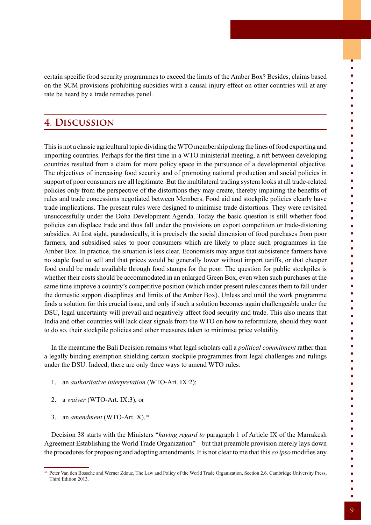certain specific food security programmes to exceed the limits of the Amber Box? Besides, claims based on the SCM provisions prohibiting subsidies with a causal injury effect on other countries will at any rate be heard by a trade remedies panel.

# **4. Discussion**

This is not a classic agricultural topic dividing the WTO membership along the lines of food exporting and importing countries. Perhaps for the first time in a WTO ministerial meeting, a rift between developing countries resulted from a claim for more policy space in the pursuance of a developmental objective. The objectives of increasing food security and of promoting national production and social policies in support of poor consumers are all legitimate. But the multilateral trading system looks at all trade-related policies only from the perspective of the distortions they may create, thereby impairing the benefits of rules and trade concessions negotiated between Members. Food aid and stockpile policies clearly have trade implications. The present rules were designed to minimise trade distortions. They were revisited unsuccessfully under the Doha Development Agenda. Today the basic question is still whether food policies can displace trade and thus fall under the provisions on export competition or trade-distorting subsidies. At first sight, paradoxically, it is precisely the social dimension of food purchases from poor farmers, and subsidised sales to poor consumers which are likely to place such programmes in the Amber Box. In practice, the situation is less clear. Economists may argue that subsistence farmers have no staple food to sell and that prices would be generally lower without import tariffs, or that cheaper food could be made available through food stamps for the poor. The question for public stockpiles is whether their costs should be accommodated in an enlarged Green Box, even when such purchases at the same time improve a country's competitive position (which under present rules causes them to fall under the domestic support disciplines and limits of the Amber Box). Unless and until the work programme finds a solution for this crucial issue, and only if such a solution becomes again challengeable under the DSU, legal uncertainty will prevail and negatively affect food security and trade. This also means that India and other countries will lack clear signals from the WTO on how to reformulate, should they want to do so, their stockpile policies and other measures taken to minimise price volatility.

In the meantime the Bali Decision remains what legal scholars call a *political commitment* rather than a legally binding exemption shielding certain stockpile programmes from legal challenges and rulings under the DSU. Indeed, there are only three ways to amend WTO rules:

- 1. an *authoritative interpretation* (WTO-Art. IX:2);
- 2. a *waiver* (WTO-Art. IX:3), or
- 3. an *amendment* (WTO-Art. X).38

Decision 38 starts with the Ministers "*having regard to* paragraph 1 of Article IX of the Marrakesh Agreement Establishing the World Trade Organization" – but that preamble provision merely lays down the procedures for proposing and adopting amendments. It is not clear to me that this *eo ipso* modifies any  $\bullet$ 

-<br>-<br>-<br>-

 $\bullet$  $\bullet$  $\bullet$ 

 $\bullet$ 

 $\bullet$ 

 $\begin{array}{c} \bullet \\ \bullet \\ \bullet \end{array}$ 

 $\bullet$  $\bullet$  $\bullet$  $\bullet$  $\bullet$  $\bullet$  $\bullet$  $\bullet$  $\bullet$  $\bullet$  $\bullet$  $\bullet$  $\bullet$  $\bullet$  $\bullet$  $\bullet$  $\bullet$  $\bullet$  $\bullet$  $\bullet$  $\bullet$  $\bullet$  $\bullet$  $\bullet$  $\bullet$  $\bullet$ 

<sup>38</sup> Peter Van den Bossche and Werner Zdouc, The Law and Policy of the World Trade Organization, Section 2.6. Cambridge University Press, Third Edition 2013.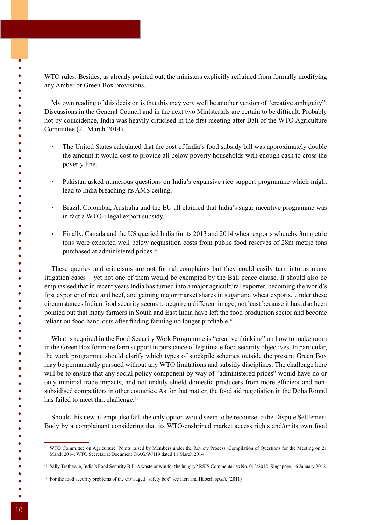WTO rules. Besides, as already pointed out, the ministers explicitly refrained from formally modifying any Amber or Green Box provisions.

My own reading of this decision is that this may very well be another version of "creative ambiguity". Discussions in the General Council and in the next two Ministerials are certain to be difficult. Probably not by coincidence, India was heavily criticised in the first meeting after Bali of the WTO Agriculture Committee (21 March 2014).

- The United States calculated that the cost of India's food subsidy bill was approximately double the amount it would cost to provide all below poverty households with enough cash to cross the poverty line.
- Pakistan asked numerous questions on India's expansive rice support programme which might lead to India breaching its AMS ceiling.
- Brazil, Colombia, Australia and the EU all claimed that India's sugar incentive programme was in fact a WTO-illegal export subsidy.
- Finally, Canada and the US queried India for its 2013 and 2014 wheat exports whereby 3m metric tons were exported well below acquisition costs from public food reserves of 28m metric tons purchased at administered prices.<sup>39</sup>

These queries and criticisms are not formal complaints but they could easily turn into as many litigation cases – yet not one of them would be exempted by the Bali peace clause. It should also be emphasised that in recent years India has turned into a major agricultural exporter, becoming the world's first exporter of rice and beef, and gaining major market shares in sugar and wheat exports. Under these circumstances Indian food security seems to acquire a different image, not least because it has also been pointed out that many farmers in South and East India have left the food production sector and become reliant on food hand-outs after finding farming no longer profitable.<sup>40</sup>

What is required in the Food Security Work Programme is "creative thinking" on how to make room in the Green Box for more farm support in pursuance of legitimate food security objectives. In particular, the work programme should clarify which types of stockpile schemes outside the present Green Box may be permanently pursued without any WTO limitations and subsidy disciplines. The challenge here will be to ensure that any social policy component by way of "administered prices" would have no or only minimal trade impacts, and not unduly shield domestic producers from more efficient and nonsubsidised competitors in other countries. As for that matter, the food aid negotiation in the Doha Round has failed to meet that challenge.<sup>41</sup>

Should this new attempt also fail, the only option would seem to be recourse to the Dispute Settlement Body by a complainant considering that its WTO-enshrined market access rights and/or its own food

 $\bullet$  $\bullet$  $\bullet$  $\bullet$  $\bullet$  $\bullet$  $\bullet$  $\bullet$  $\bullet$  $\bullet$  $\bullet$ 

 $\bullet$  $\bullet$  $\bullet$  $\bullet$  $\bullet$  $\bullet$  $\bullet$  $\bullet$  $\bullet$ 

 $\bullet$ 

 $\bullet$ 

 $\bullet$  $\bullet$  $\bullet$  $\bullet$  $\bullet$  $\bullet$  $\bullet$  $\bullet$  $\bullet$  $\bullet$  $\bullet$  $\bullet$  $\bullet$  $\bullet$  $\bullet$  $\bullet$  $\bullet$ 

<sup>&</sup>lt;sup>39</sup> WTO Committee on Agriculture. Points raised by Members under the Review Process. Compilation of Ouestions for the Meeting on 21 March 2014. WTO Secretariat Document G/AG/W/119 dated 11 March 2014

<sup>40</sup> Sally Trethewie, India's Food Security Bill: A waste or win for the hungry? RSIS Commentaries No. 012/2012. Singapore, 16 January 2012.

<sup>41</sup> For the food security problems of the envisaged "safety box" see Heri and Häberli *op.cit.* (2011)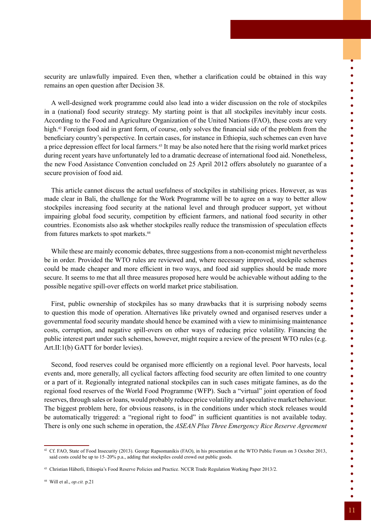A well-designed work programme could also lead into a wider discussion on the role of stockpiles in a (national) food security strategy. My starting point is that all stockpiles inevitably incur costs. According to the Food and Agriculture Organization of the United Nations (FAO), these costs are very high.<sup>42</sup> Foreign food aid in grant form, of course, only solves the financial side of the problem from the beneficiary country's perspective. In certain cases, for instance in Ethiopia, such schemes can even have a price depression effect for local farmers.43 It may be also noted here that the rising world market prices during recent years have unfortunately led to a dramatic decrease of international food aid. Nonetheless, the new Food Assistance Convention concluded on 25 April 2012 offers absolutely no guarantee of a secure provision of food aid.

This article cannot discuss the actual usefulness of stockpiles in stabilising prices. However, as was made clear in Bali, the challenge for the Work Programme will be to agree on a way to better allow stockpiles increasing food security at the national level and through producer support, yet without impairing global food security, competition by efficient farmers, and national food security in other countries. Economists also ask whether stockpiles really reduce the transmission of speculation effects from futures markets to spot markets.44

While these are mainly economic debates, three suggestions from a non-economist might nevertheless be in order. Provided the WTO rules are reviewed and, where necessary improved, stockpile schemes could be made cheaper and more efficient in two ways, and food aid supplies should be made more secure. It seems to me that all three measures proposed here would be achievable without adding to the possible negative spill-over effects on world market price stabilisation.

First, public ownership of stockpiles has so many drawbacks that it is surprising nobody seems to question this mode of operation. Alternatives like privately owned and organised reserves under a governmental food security mandate should hence be examined with a view to minimising maintenance costs, corruption, and negative spill-overs on other ways of reducing price volatility. Financing the public interest part under such schemes, however, might require a review of the present WTO rules (e.g. Art.II:1(b) GATT for border levies).

Second, food reserves could be organised more efficiently on a regional level. Poor harvests, local events and, more generally, all cyclical factors affecting food security are often limited to one country or a part of it. Regionally integrated national stockpiles can in such cases mitigate famines, as do the regional food reserves of the World Food Programme (WFP). Such a "virtual" joint operation of food reserves, through sales or loans, would probably reduce price volatility and speculative market behaviour. The biggest problem here, for obvious reasons, is in the conditions under which stock releases would be automatically triggered: a "regional right to food" in sufficient quantities is not available today. There is only one such scheme in operation, the *ASEAN Plus Three Emergency Rice Reserve Agreement*  $\begin{array}{c} \bullet \\ \bullet \\ \bullet \end{array}$ 

 $\bullet$  $\bullet$  $\bullet$  $\bullet$  $\bullet$  $\bullet$  $\bullet$  $\bullet$  $\bullet$  $\bullet$  $\bullet$  $\bullet$  $\bullet$  $\bullet$  $\bullet$  $\bullet$  $\bullet$  $\bullet$  $\bullet$  $\bullet$  $\bullet$  $\bullet$  $\bullet$  $\bullet$  $\bullet$  $\bullet$  $\bullet$  $\bullet$  $\bullet$  $\bullet$  $\bullet$  $\bullet$  $\bullet$  $\bullet$  $\bullet$  $\bullet$  $\bullet$  $\bullet$  $\bullet$  $\bullet$  $\bullet$  $\bullet$  $\bullet$  $\bullet$  $\bullet$  $\bullet$  $\bullet$  $\bullet$ 

<sup>42</sup> Cf. FAO, State of Food Insecurity (2013). George Rapsomanikis (FAO), in his presentation at the WTO Public Forum on 3 October 2013, said costs could be up to 15–20% p.a., adding that stockpiles could crowd out public goods.

<sup>43</sup> Christian Häberli, Ethiopia's Food Reserve Policies and Practice. NCCR Trade Regulation Working Paper 2013/2.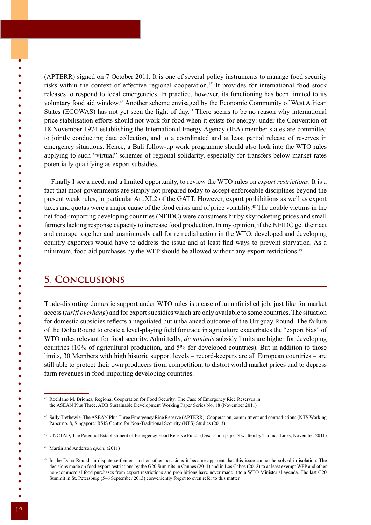(APTERR) signed on 7 October 2011. It is one of several policy instruments to manage food security risks within the context of effective regional cooperation.45 It provides for international food stock releases to respond to local emergencies. In practice, however, its functioning has been limited to its voluntary food aid window.46 Another scheme envisaged by the Economic Community of West African States (ECOWAS) has not yet seen the light of day.<sup>47</sup> There seems to be no reason why international price stabilisation efforts should not work for food when it exists for energy: under the Convention of 18 November 1974 establishing the International Energy Agency (IEA) member states are committed to jointly conducting data collection, and to a coordinated and at least partial release of reserves in emergency situations. Hence, a Bali follow-up work programme should also look into the WTO rules applying to such "virtual" schemes of regional solidarity, especially for transfers below market rates potentially qualifying as export subsidies.

Finally I see a need, and a limited opportunity, to review the WTO rules on *export restrictions*. It is a fact that most governments are simply not prepared today to accept enforceable disciplines beyond the present weak rules, in particular Art.XI:2 of the GATT. However, export prohibitions as well as export taxes and quotas were a major cause of the food crisis and of price volatility.48 The double victims in the net food-importing developing countries (NFIDC) were consumers hit by skyrocketing prices and small farmers lacking response capacity to increase food production. In my opinion, if the NFIDC get their act and courage together and unanimously call for remedial action in the WTO, developed and developing country exporters would have to address the issue and at least find ways to prevent starvation. As a minimum, food aid purchases by the WFP should be allowed without any export restrictions.49

## **5. Conclusions**

Trade-distorting domestic support under WTO rules is a case of an unfinished job, just like for market access (*tariff overhang*) and for export subsidies which are only available to some countries. The situation for domestic subsidies reflects a negotiated but unbalanced outcome of the Uruguay Round. The failure of the Doha Round to create a level-playing field for trade in agriculture exacerbates the "export bias" of WTO rules relevant for food security. Admittedly, *de minimis* subsidy limits are higher for developing countries (10% of agricultural production, and 5% for developed countries). But in addition to those limits, 30 Members with high historic support levels – record-keepers are all European countries – are still able to protect their own producers from competition, to distort world market prices and to depress farm revenues in food importing developing countries.

 $\bullet$ 

 $\bullet$  $\bullet$  $\bullet$  $\bullet$ 

 $\bullet$ 

 $\bullet$ 

 $\bullet$  $\bullet$  $\bullet$  $\bullet$  $\bullet$  $\bullet$  $\bullet$  $\bullet$ 

 $\bullet$  $\bullet$  $\bullet$  $\bullet$  $\bullet$ 

 $\bullet$  $\bullet$  $\bullet$  $\bullet$  $\bullet$ 

 $\bullet$  $\bullet$ 

 $\bullet$ 

 $\bullet$  $\bullet$  $\bullet$  $\bullet$ 

<sup>45</sup> Roehlano M. Briones, Regional Cooperation for Food Security: The Case of Emergency Rice Reserves in the ASEAN Plus Three. ADB Sustainable Development Working Paper Series No. 18 (November 2011)

<sup>46</sup> Sally Trethewie, The ASEAN Plus Three Emergency Rice Reserve (APTERR): Cooperation, commitment and contradictions (NTS Working Paper no. 8, Singapore: RSIS Centre for Non-Traditional Security (NTS) Studies (2013)

<sup>47</sup> UNCTAD, The Potential Establishment of Emergency Food Reserve Funds (Discussion paper 3 written by Thomas Lines, November 2011)

<sup>48</sup> Martin and Anderson *op.cit.* (2011)

<sup>49</sup> In the Doha Round, in dispute settlement and on other occasions it became apparent that this issue cannot be solved in isolation. The decisions made on food export restrictions by the G20 Summits in Cannes (2011) and in Los Cabos (2012) to at least exempt WFP and other non-commercial food purchases from export restrictions and prohibitions have never made it to a WTO Ministerial agenda. The last G20 Summit in St. Petersburg (5–6 September 2013) conveniently forgot to even refer to this matter.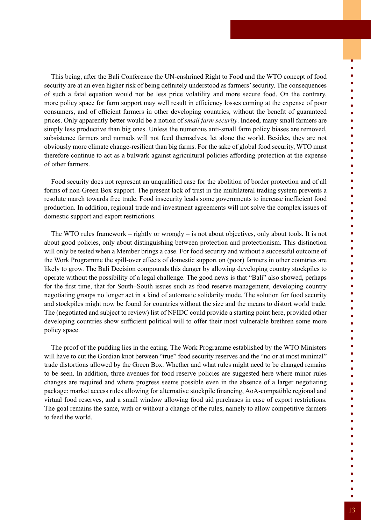This being, after the Bali Conference the UN-enshrined Right to Food and the WTO concept of food security are at an even higher risk of being definitely understood as farmers' security. The consequences of such a fatal equation would not be less price volatility and more secure food. On the contrary, more policy space for farm support may well result in efficiency losses coming at the expense of poor consumers, and of efficient farmers in other developing countries, without the benefit of guaranteed prices. Only apparently better would be a notion of *small farm security*. Indeed, many small farmers are simply less productive than big ones. Unless the numerous anti-small farm policy biases are removed, subsistence farmers and nomads will not feed themselves, let alone the world. Besides, they are not obviously more climate change-resilient than big farms. For the sake of global food security, WTO must therefore continue to act as a bulwark against agricultural policies affording protection at the expense of other farmers.

Food security does not represent an unqualified case for the abolition of border protection and of all forms of non-Green Box support. The present lack of trust in the multilateral trading system prevents a resolute march towards free trade. Food insecurity leads some governments to increase inefficient food production. In addition, regional trade and investment agreements will not solve the complex issues of domestic support and export restrictions.

The WTO rules framework – rightly or wrongly – is not about objectives, only about tools. It is not about good policies, only about distinguishing between protection and protectionism. This distinction will only be tested when a Member brings a case. For food security and without a successful outcome of the Work Programme the spill-over effects of domestic support on (poor) farmers in other countries are likely to grow. The Bali Decision compounds this danger by allowing developing country stockpiles to operate without the possibility of a legal challenge. The good news is that "Bali" also showed, perhaps for the first time, that for South–South issues such as food reserve management, developing country negotiating groups no longer act in a kind of automatic solidarity mode. The solution for food security and stockpiles might now be found for countries without the size and the means to distort world trade. The (negotiated and subject to review) list of NFIDC could provide a starting point here, provided other developing countries show sufficient political will to offer their most vulnerable brethren some more policy space.

The proof of the pudding lies in the eating. The Work Programme established by the WTO Ministers will have to cut the Gordian knot between "true" food security reserves and the "no or at most minimal" trade distortions allowed by the Green Box. Whether and what rules might need to be changed remains to be seen. In addition, three avenues for food reserve policies are suggested here where minor rules changes are required and where progress seems possible even in the absence of a larger negotiating package: market access rules allowing for alternative stockpile financing, AoA-compatible regional and virtual food reserves, and a small window allowing food aid purchases in case of export restrictions. The goal remains the same, with or without a change of the rules, namely to allow competitive farmers to feed the world.

 $\bullet$ 

 $\bullet$   $\bullet$ 

 $\bullet$  $\bullet$  $\bullet$  $\bullet$  $\bullet$  $\bullet$  $\bullet$  $\bullet$  $\bullet$  $\bullet$  $\bullet$  $\bullet$  $\bullet$  $\bullet$  $\bullet$  $\bullet$  $\bullet$  $\bullet$  $\bullet$  $\bullet$  $\bullet$  $\bullet$  $\bullet$  $\bullet$  $\bullet$  $\bullet$  $\bullet$  $\bullet$  $\bullet$  $\bullet$  $\bullet$  $\bullet$  $\bullet$  $\bullet$  $\bullet$  $\bullet$  $\bullet$  $\bullet$  $\bullet$  $\bullet$  $\bullet$  $\bullet$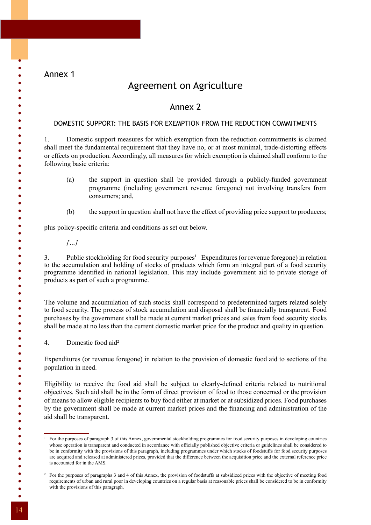Annex 1

 $\bullet$ 

 $\bullet$ 

 $\bullet$  $\bullet$ 

 $\bullet$  $\bullet$  $\bullet$  $\bullet$ 

 $\bullet$  $\bullet$  $\bullet$  $\bullet$  $\bullet$  $\bullet$  $\bullet$  $\bullet$  $\bullet$  $\bullet$  $\bullet$  $\bullet$  $\bullet$  $\bullet$ 

 $\bullet$  $\bullet$  $\bullet$  $\bullet$  $\bullet$  $\bullet$  $\bullet$  $\bullet$  $\bullet$  $\bullet$  $\bullet$  $\bullet$  $\bullet$  $\bullet$  $\bullet$  $\bullet$ 

# Agreement on Agriculture

## Annex 2

## DOMESTIC SUPPORT: THE BASIS FOR EXEMPTION FROM THE REDUCTION COMMITMENTS

1. Domestic support measures for which exemption from the reduction commitments is claimed shall meet the fundamental requirement that they have no, or at most minimal, trade-distorting effects or effects on production. Accordingly, all measures for which exemption is claimed shall conform to the following basic criteria:

- (a) the support in question shall be provided through a publicly-funded government programme (including government revenue foregone) not involving transfers from consumers; and,
- (b) the support in question shall not have the effect of providing price support to producers;

plus policy-specific criteria and conditions as set out below.

*[…]*

3. Public stockholding for food security purposes<sup>1</sup> Expenditures (or revenue foregone) in relation to the accumulation and holding of stocks of products which form an integral part of a food security programme identified in national legislation. This may include government aid to private storage of products as part of such a programme.

The volume and accumulation of such stocks shall correspond to predetermined targets related solely to food security. The process of stock accumulation and disposal shall be financially transparent. Food purchases by the government shall be made at current market prices and sales from food security stocks shall be made at no less than the current domestic market price for the product and quality in question.

4. Domestic food aid2

Expenditures (or revenue foregone) in relation to the provision of domestic food aid to sections of the population in need.

Eligibility to receive the food aid shall be subject to clearly-defined criteria related to nutritional objectives. Such aid shall be in the form of direct provision of food to those concerned or the provision of means to allow eligible recipients to buy food either at market or at subsidized prices. Food purchases by the government shall be made at current market prices and the financing and administration of the aid shall be transparent.

<sup>1</sup> For the purposes of paragraph 3 of this Annex, governmental stockholding programmes for food security purposes in developing countries whose operation is transparent and conducted in accordance with officially published objective criteria or guidelines shall be considered to be in conformity with the provisions of this paragraph, including programmes under which stocks of foodstuffs for food security purposes are acquired and released at administered prices, provided that the difference between the acquisition price and the external reference price is accounted for in the AMS.

<sup>&</sup>lt;sup>2</sup> For the purposes of paragraphs 3 and 4 of this Annex, the provision of foodstuffs at subsidized prices with the objective of meeting food requirements of urban and rural poor in developing countries on a regular basis at reasonable prices shall be considered to be in conformity with the provisions of this paragraph.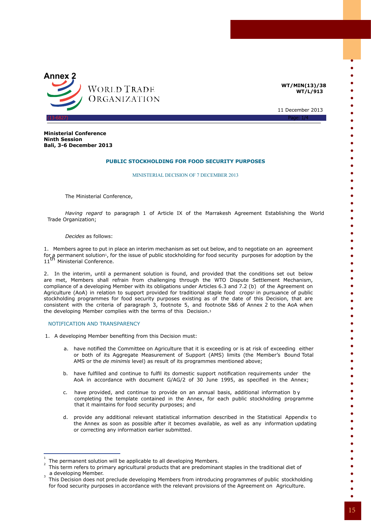

**WT/MIN(13)/38 WT/L/913**

> $\bullet$  $\bullet$  $\bullet$

 $\bullet$  $\bullet$ 

 $\bullet$  $\bullet$ 

 $\bullet$  $\bullet$ 

 $\bullet$  $\bullet$ 

 $\bullet$  $\bullet$ 

 $\bullet$  $\bullet$  $\bullet$  $\bullet$  $\bullet$ 

> $\bullet$  $\bullet$

 $\bullet$  $\bullet$  $\bullet$  $\bullet$  $\bullet$ 

 $\bullet$  $\bullet$  $\bullet$  $\bullet$  $\bullet$ 

11 December 2013

**Ministerial Conference Ninth Session Bali, 3-6 December 2013**

## **PUBLIC STOCKHOLDING FOR FOOD SECURITY PURPOSES**

MINISTERIAL DECISION OF 7 DECEMBER 2013

The Ministerial Conference,

*Having regard* to paragraph 1 of Article IX of the Marrakesh Agreement Establishing the World Trade Organization;

*Decides* as follows:

1. Members agree to put in place an interim mechanism as set out below, and to negotiate on an agreement for a permanent solution<sub>1</sub>, for the issue of public stockholding for food security purposes for adoption by the<br>11<sup>th</sup> Ministerial Conference.

2. In the interim, until a permanent solution is found, and provided that the conditions set out below are met, Members shall refrain from challenging through the WTO Dispute Settlement Mechanism, compliance of a developing Member with its obligations under Articles 6.3 and 7.2 (b) of the Agreement on Agriculture (AoA) in relation to support provided for traditional staple food crops<sup>2</sup> in pursuance of public stockholding programmes for food security purposes existing as of the date of this Decision, that are consistent with the criteria of paragraph 3, footnote 5, and footnote 5&6 of Annex 2 to the AoA when the developing Member complies with the terms of this Decision.3

### NOTIFICATION AND TRANSPARENCY

- 1. A developing Member benefiting from this Decision must:
	- a. have notified the Committee on Agriculture that it is exceeding or is at risk of exceeding either or both of its Aggregate Measurement of Support (AMS) limits (the Member's Bound Total AMS or the *de minimis* level) as result of its programmes mentioned above;
	- b. have fulfilled and continue to fulfil its domestic support notification requirements under the AoA in accordance with document G/AG/2 of 30 June 1995, as specified in the Annex;
	- c. have provided, and continue to provide on an annual basis, additional information by completing the template contained in the Annex, for each public stockholding programme that it maintains for food security purposes; and
	- d. provide any additional relevant statistical information described in the Statistical Appendix to the Annex as soon as possible after it becomes available, as well as any information updating or correcting any information earlier submitted.

<sup>1</sup> The permanent solution will be applicable to all developing Members. <sup>2</sup>

This term refers to primary agricultural products that are predominant staples in the traditional diet of  $_3$  a developing Member.

This Decision does not preclude developing Members from introducing programmes of public stockholding for food security purposes in accordance with the relevant provisions of the Agreement on Agriculture.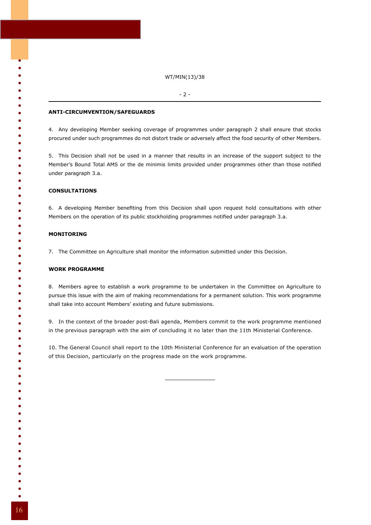### WT/MIN(13)/38

#### - 2 -

## **ANTI-CIRCUMVENTION/SAFEGUARDS**

4. Any developing Member seeking coverage of programmes under paragraph 2 shall ensure that stocks procured under such programmes do not distort trade or adversely affect the food security of other Members.

5. This Decision shall not be used in a manner that results in an increase of the support subject to the Member's Bound Total AMS or the de minimis limits provided under programmes other than those notified under paragraph 3.a.

## **CONSULTATIONS**

6. A developing Member benefiting from this Decision shall upon request hold consultations with other Members on the operation of its public stockholding programmes notified under paragraph 3.a.

## **MONITORING**

ó

 $\bullet$ 

 $\bullet$ 

 $\bullet$ 

ă

 $\bullet$ 

7. The Committee on Agriculture shall monitor the information submitted under this Decision.

## **WORK PROGRAMME**

8. Members agree to establish a work programme to be undertaken in the Committee on Agriculture to pursue this issue with the aim of making recommendations for a permanent solution. This work programme shall take into account Members' existing and future submissions.

9. In the context of the broader post-Bali agenda, Members commit to the work programme mentioned in the previous paragraph with the aim of concluding it no later than the 11th Ministerial Conference.

10. The General Council shall report to the 10th Ministerial Conference for an evaluation of the operation of this Decision, particularly on the progress made on the work programme.

- 
- 
- 
- 
-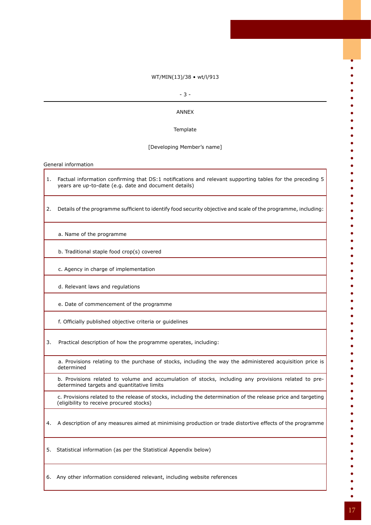## WT/MIN(13)/38 • wt/l/913

### - 3 -

## ANNEX

## **Template**

## [Developing Member's name]

General information

- 1. Factual information confirming that DS:1 notifications and relevant supporting tables for the preceding 5 years are up-to-date (e.g. date and document details)
- 2. Details of the programme sufficient to identify food security objective and scale of the programme, including:
	- a. Name of the programme
	- b. Traditional staple food crop(s) covered
	- c. Agency in charge of implementation
	- d. Relevant laws and regulations
	- e. Date of commencement of the programme
	- f. Officially published objective criteria or guidelines
- 3. Practical description of how the programme operates, including:
	- a. Provisions relating to the purchase of stocks, including the way the administered acquisition price is determined
	- b. Provisions related to volume and accumulation of stocks, including any provisions related to predetermined targets and quantitative limits
	- c. Provisions related to the release of stocks, including the determination of the release price and targeting (eligibility to receive procured stocks)
- 4. A description of any measures aimed at minimising production or trade distortive effects of the programme
- 5. Statistical information (as per the Statistical Appendix below)
- 6. Any other information considered relevant, including website references

 $\bullet$ 

 $\bullet$  $\bullet$ 

 $\bullet$  $\bullet$ 

 $\bullet$ ó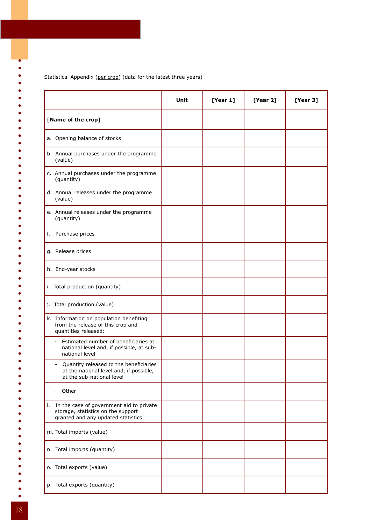Statistical Appendix (per crop) (data for the latest three years)

|                                                                                                                                            | Unit | [Year 1] | [Year 2] | [Year 3] |
|--------------------------------------------------------------------------------------------------------------------------------------------|------|----------|----------|----------|
| [Name of the crop]                                                                                                                         |      |          |          |          |
| a. Opening balance of stocks                                                                                                               |      |          |          |          |
| b. Annual purchases under the programme<br>(value)                                                                                         |      |          |          |          |
| c. Annual purchases under the programme<br>(quantity)                                                                                      |      |          |          |          |
| d. Annual releases under the programme<br>(value)                                                                                          |      |          |          |          |
| e. Annual releases under the programme<br>(quantity)                                                                                       |      |          |          |          |
| Purchase prices<br>f.                                                                                                                      |      |          |          |          |
| g. Release prices                                                                                                                          |      |          |          |          |
| h. End-year stocks                                                                                                                         |      |          |          |          |
| i. Total production (quantity)                                                                                                             |      |          |          |          |
| j. Total production (value)                                                                                                                |      |          |          |          |
| k. Information on population benefiting<br>from the release of this crop and<br>quantities released:                                       |      |          |          |          |
| Estimated number of beneficiaries at<br>national level and, if possible, at sub-<br>national level                                         |      |          |          |          |
| Quantity released to the beneficiaries<br>$\overline{\phantom{0}}$<br>at the national level and, if possible,<br>at the sub-national level |      |          |          |          |
| Other<br>$\overline{\phantom{0}}$                                                                                                          |      |          |          |          |
| In the case of government aid to private<br>ı.<br>storage, statistics on the support<br>granted and any updated statistics                 |      |          |          |          |
| m. Total imports (value)                                                                                                                   |      |          |          |          |
| n. Total imports (quantity)                                                                                                                |      |          |          |          |
| o. Total exports (value)                                                                                                                   |      |          |          |          |
| p. Total exports (quantity)                                                                                                                |      |          |          |          |

18